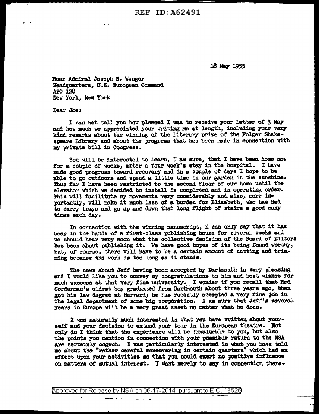18 May 1955

Rear Admiral Joseph N. Wenger Headquarters, U.S. European Command APO 128 New York, New York

Dear Joe:

I can not tell you how pleased I was to receive your letter of 3 May and how much we appreciated your writing me at length, including your very kind remarks about the winning of the literary prize of the Folger Shakespeare Library and about the progress that has been made in connection with my private bill in Congress.

You will be interested to learn, I am sure, that I have been home now for a couple of weeks, after a four week's stay in the hospital. I have made good progress toward recovery and in a couple of days I hope to be able to go outdoors and spend a little time in our garden in the sunshine. Thus far I have been restricted to the second floor of our home until the elevator which we decided to install is completed and in operating order. This will facilitate my movements very considerably and also, more importantly, will make it much less of a burden for Elizabeth, who has had to carry trays and go up and down that long flight of stairs a good many times each day.

In connection with the winning manuscript, I can only say that it has been in the hands of a first-class publishing house for several weeks and we should hear very soon what the collective decision of the Board of Editors has been about publishing it. We have good hopes of its being found worthy, but, of course, there will have to be a certain amount of cutting and trimming because the work is too long as it stands.

The news about Jeff having been accepted by Dartmouth is very pleasing and I would like you to convey my congratulations to him and best wishes for much success at that very fine university. I wonder if you recall that Red Corderman's oldest boy graduated from Dartmouth about three years ago, then got his law degree at Harvard; he has recently accepted a very fine job in the legal department of some big corporation. I am sure that Jeff's several years in Europe will be a very great asset no matter what he does.

I was naturally much interested in what you have written about yourself and your decision to extend your tour in the European theatre. Not only do I think that the experience will be invalueble to you, but also the points you mention in connection with your possible return to the NSA are certainly cogent. I was particularly interested in what you have told me about the "rather careful maneuvering in certain quarters" which had an effect upon your activities so that you could exert no positive influence on matters of mutual interest. I want merely to say in connection there